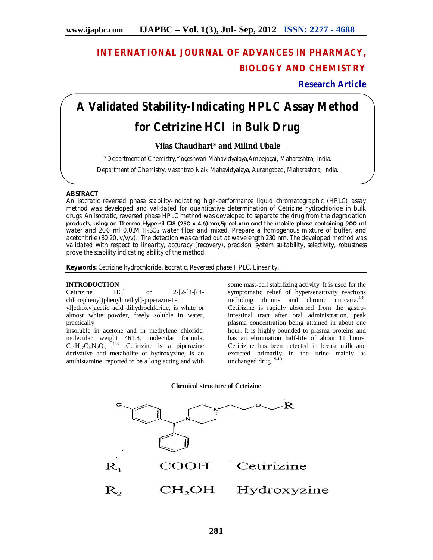# **INTERNATIONAL JOURNAL OF ADVANCES IN PHARMACY, BIOLOGY AND CHEMISTRY**

**Research Article**

# **A Validated Stability-Indicating HPLC Assay Method for Cetrizine HCl in Bulk Drug**

# **Vilas Chaudhari\* and Milind Ubale**

\*Department of Chemistry,Yogeshwari Mahavidyalaya,Ambejogai, Maharashtra, India.

Department of Chemistry, Vasantrao Naik Mahavidyalaya, Aurangabad, Maharashtra, India.

# **ABSTRACT**

An isocratic reversed phase stability-indicating high-performance liquid chromatographic (HPLC) assay method was developed and validated for quantitative determination of Cetrizine hydrochloride in bulk drugs. An isocratic, reversed phase HPLC method was developed to separate the drug from the degradation products, using an Thermo Hypersil C18 (250 x 4.6)mm,5µ column and the mobile phase containing 900 ml water and 200 ml  $0.01M H<sub>2</sub>SO<sub>4</sub>$  water filter and mixed. Prepare a homogenous mixture of buffer, and acetonitrile (80:20, v/v/v). The detection was carried out at wavelength 230 nm. The developed method was validated with respect to linearity, accuracy (recovery), precision, system suitability, selectivity, robustness prove the stability indicating ability of the method.

Keywords: Cetrizine hydrochloride, Isocratic, Reversed phase HPLC, Linearity.

# **INTRODUCTION**

Cetirizine HCl or 2-[2-[4-[(4 chlorophenyl)phenylmethyl]-piperazin-1-

yl]ethoxy]acetic acid dihydrochloride, is white or almost white powder, freely soluble in water, practically

insoluble in acetone and in methylene chloride, molecular weight 461.8, molecular formula,  $C_{21}H_{27}C_{13}N_2O_3$ <sup>1.3</sup> .Cetirizine is a piperazine derivative and metabolite of hydroxyzine, is an antihistamine, reported to be a long acting and with some mast-cell stabilizing activity. It is used for the symptomatic relief of hypersensitivity reactions including rhinitis and chronic urticaria.<sup>4-8</sup>. Cetirizine is rapidly absorbed from the gastrointestinal tract after oral administration, peak plasma concentration being attained in about one hour. It is highly bounded to plasma proteins and has an elimination half-life of about 11 hours. Cetirizine has been detected in breast milk and excreted primarily in the urine mainly as unchanged drug .<sup>9-10</sup>.

**Chemical structure of Cetrizine**

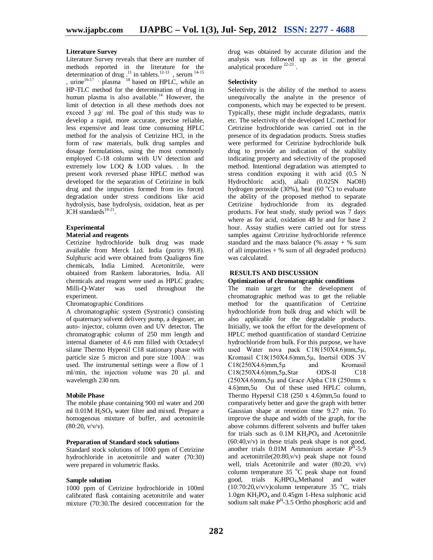#### **Literature Survey**

Literature Survey reveals that there are number of methods reported in the literature for the determination of drug  $^{11}$  in tablets.<sup>12-13</sup>, serum <sup>14-15</sup> , urine<sup>16-17</sup>  $\cdot$  plasma<sup>18</sup> based on HPLC, while an HP-TLC method for the determination of drug in human plasma is also available.<sup>14</sup> However, the limit of detection in all these methods does not exceed 3 µg/ ml. The goal of this study was to develop a rapid, more accurate, precise reliable, less expensive and least time consuming HPLC method for the analysis of Cetrizine HCl, in the form of raw materials, bulk drug samples and dosage formulations, using the most commonly employed C-18 column with UV detection and extremely low LOQ & LOD values. . In the present work reversed phase HPLC method was developed for the separation of Cetirizine in bulk drug and the impurities formed from its forced degradation under stress conditions like acid hydrolysis, base hydrolysis, oxidation, heat as per ICH standards $19-21$ .

#### **Experimental**

# **Material and reagents**

Cetrizine hydrochloride bulk drug was made available from Merck Ltd. India (purity 99.8). Sulphuric acid were obtained from Qualigens fine chemicals, India Limited. Acetonitrile, were obtained from Rankem laboratories, India. All chemicals and reagent were used as HPLC grades; Milli-Q-Water was used throughout the experiment.

#### Chromatographic Conditions

A chromatographic system (Systronic) consisting of quaternary solvent delivery pump, a degasser, an auto- injector, column oven and UV detector*.* The chromatographic column of 250 mm length and internal diameter of 4.6 mm filled with Octadecyl silane Thermo Hypersil C18 stationary phase with particle size 5 micron and pore size  $100A \Box$  was used. The instrumental settings were a flow of 1 ml/min, the injection volume was 20 µl. and wavelength 230 nm.

#### **Mobile Phase**

The mobile phase containing 900 ml water and 200 ml  $0.01M$  H<sub>2</sub>SO<sub>4</sub> water filter and mixed. Prepare a homogenous mixture of buffer, and acetonitrile  $(80:20, v/v/v)$ .

#### **Preparation of Standard stock solutions**

Standard stock solutions of 1000 ppm of Cetrizine hydrochloride in acetonitrile and water (70:30) were prepared in volumetric flasks.

#### **Sample solution**

1000 ppm of Cetrizine hydrochloride in 100ml calibrated flask containing acetonitrile and water mixture (70:30.The desired concentration for the drug was obtained by accurate dilution and the analysis was followed up as in the general analytical procedure<sup>22-23</sup>.

#### **Selectivity**

Selectivity is the ability of the method to assess unequivocally the analyte in the presence of components, which may be expected to be present. Typically, these might include degradants, matrix etc. The selectivity of the developed LC method for Cetrizine hydrochloride was carried out in the presence of its degradation products. Stress studies were performed for Cetrizine hydrochloride bulk drug to provide an indication of the stability indicating property and selectivity of the proposed method. Intentional degradation was attempted to stress condition exposing it with acid (0.5 N Hydrochloric acid), alkali (0.025N NaOH) hydrogen peroxide (30%), heat (60 $\degree$ C) to evaluate the ability of the proposed method to separate Cetrizine hydrochloride from its degraded products. For heat study, study period was 7 days where as for acid, oxidation 48 hr and for base 2 hour. Assay studies were carried out for stress samples against Cetrizine hydrochloride reference standard and the mass balance (% assay  $+$  % sum of all impurities  $+$  % sum of all degraded products) was calculated.

## **RESULTS AND DISCUSSION**

## **Optimization of chromatographic conditions**

The main target for the development of chromatographic method was to get the reliable method for the quantification of Cetrizine hydrochloride from bulk drug and which will be also applicable for the degradable products. Initially, we took the effort for the development of HPLC method quantification of standard Cetrizine hydrochloride from bulk. For this purpose, we have used Water nova pack C18(150X4.6)mm,5µ, Kromasil C18(150X4.6)mm,5µ, Inertsil ODS 3V<br>C18(250X4.6)mm.5u and Kromasil  $C18(250X4.6)$ mm, 5µ C18(250X4.6)mm,5µ,Star ODS-II C18  $(250X4.6)$ mm, $5\mu$  and Grace Alpha C18 (250mm x 4.6)mm,5u Out of these used HPLC column, Thermo Hypersil C18  $(250 \times 4.6)$ mm, 5u found to comparatively better and gave the graph with better Gaussian shape at retention time 9.27 min. To improve the shape and width of the graph, for the above columns different solvents and buffer taken for trials such as  $0.1M$  KH<sub>2</sub>PO<sub>4</sub> and Acetonitrile  $(60:40,v/v)$  in these trials peak shape is not good, another trials  $0.01M$  Ammonium acetate  $P<sup>H</sup> - 5.9$ and acetonitrile(20:80,v/v) peak shape not found well, trials Acetonitrile and water (80:20, v/v) column temperature  $35^{\circ}$ C peak shape not found good, trials K<sub>2</sub>HPO<sub>4</sub>,Methanol and water  $(10:70:20, v/v/v)$ column temperature 35 °C, trials 1.0gm  $KH_2PO_4$  and 0.45gm 1-Hexa sulphonic acid sodium salt make P<sup>H</sup>-3.5 Ortho phosphoric acid and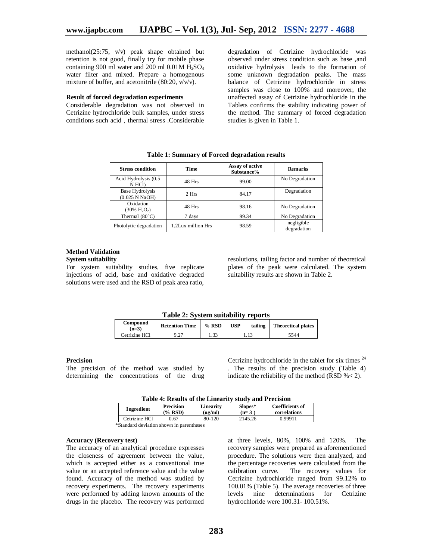methanol(25:75, v/v) peak shape obtained but retention is not good, finally try for mobile phase containing 900 ml water and 200 ml  $0.01M$  H<sub>2</sub>SO<sub>4</sub> water filter and mixed. Prepare a homogenous mixture of buffer, and acetonitrile  $(80:20, v/v/v)$ .

#### **Result of forced degradation experiments**

Considerable degradation was not observed in Cetrizine hydrochloride bulk samples, under stress conditions such acid , thermal stress .Considerable

degradation of Cetrizine hydrochloride was observed under stress condition such as base ,and oxidative hydrolysis leads to the formation of some unknown degradation peaks. The mass balance of Cetrizine hydrochloride in stress samples was close to 100% and moreover, the unaffected assay of Cetrizine hydrochloride in the Tablets confirms the stability indicating power of the method. The summary of forced degradation studies is given in Table 1.

| <b>Stress condition</b>                     | Time               | Assay of active<br>Substance% | <b>Remarks</b>            |
|---------------------------------------------|--------------------|-------------------------------|---------------------------|
| Acid Hydrolysis (0.5<br>N HCl)              | 48 Hrs<br>99.00    |                               | No Degradation            |
| <b>Base Hydrolysis</b><br>(0.025 N NaOH)    | 2 Hrs              | 84.17                         | Degradation               |
| Oxidation<br>$(30\% \text{ H}, \text{O}_2)$ | 48 Hrs             |                               | No Degradation            |
| Thermal $(80^{\circ}C)$                     | 7 days             | 99.34                         | No Degradation            |
| Photolytic degradation                      | 1.2Lux million Hrs | 98.59                         | negligible<br>degradation |

**Table 1: Summary of Forced degradation results**

#### **Method Validation System suitability**

For system suitability studies, five replicate injections of acid, base and oxidative degraded solutions were used and the RSD of peak area ratio, resolutions, tailing factor and number of theoretical plates of the peak were calculated. The system suitability results are shown in Table 2.

#### **Table 2: System suitability reports**

| Compound<br>$n=3$ | <b>Retention Time</b> | $%$ RSD | <b>USP</b> | tailing | <b>Theoretical plates</b> |
|-------------------|-----------------------|---------|------------|---------|---------------------------|
| Cetrizine HCl     | .27                   | 1.33    |            |         | 5544                      |

#### **Precision**

The precision of the method was studied by determining the concentrations of the drug Cetrizine hydrochloride in the tablet for six times  $24$ . The results of the precision study (Table 4) indicate the reliability of the method (RSD %< 2).

| Ingredient    | Precision | Linearity         | Slopes* | <b>Coefficients of</b> |
|---------------|-----------|-------------------|---------|------------------------|
|               | $\%$ RSD) | $(\mu \varrho/m)$ | $(n=3)$ | correlations           |
| Cetrizine HCl | 0.67      | 80-120            | 2145.26 | በ 99911                |

\*Standard deviation shown in parentheses

#### **Accuracy (Recovery test)**

The accuracy of an analytical procedure expresses the closeness of agreement between the value, which is accepted either as a conventional true value or an accepted reference value and the value found. Accuracy of the method was studied by recovery experiments. The recovery experiments were performed by adding known amounts of the drugs in the placebo. The recovery was performed

at three levels, 80%, 100% and 120%. The recovery samples were prepared as aforementioned procedure. The solutions were then analyzed, and the percentage recoveries were calculated from the calibration curve. The recovery values for Cetrizine hydrochloride ranged from 99.12% to 100.01% (Table 5). The average recoveries of three levels nine determinations for Cetrizine hydrochloride were 100.31- 100.51%.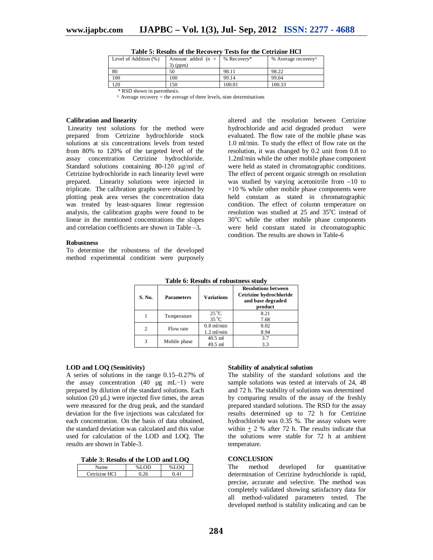| Level of Addition (%)        | Amount added ( $n =$   % Recovery* |        | % Average recovery <sup>^</sup> |  |  |
|------------------------------|------------------------------------|--------|---------------------------------|--|--|
|                              | $3)$ (ppm)                         |        |                                 |  |  |
| -80                          | 50                                 | 98.11  | 98.22                           |  |  |
| 100                          | 100                                | 99.14  | 99.04                           |  |  |
| 120                          | 150                                | 100.01 | 100.33                          |  |  |
| $*$ RSD shown in paranthesis |                                    |        |                                 |  |  |

|  |  |  | Table 5: Results of the Recovery Tests for the Cetrizine HCl |  |  |  |  |
|--|--|--|--------------------------------------------------------------|--|--|--|--|
|--|--|--|--------------------------------------------------------------|--|--|--|--|

\* RSD shown in parenthesis. ^ Average recovery = the average of three levels, nine determinations

#### **Calibration and linearity**

Linearity test solutions for the method were prepared from Cetrizine hydrochloride stock solutions at six concentrations levels from tested from 80% to 120% of the targeted level of the assay concentration Cetrizine hydrochloride. Standard solutions containing 80-120 µg/ml of Cetrizine hydrochloride in each linearity level were prepared. Linearity solutions were injected in triplicate. The calibration graphs were obtained by plotting peak area verses the concentration data was treated by least-squares linear regression analysis, the calibration graphs were found to be linear in the mentioned concentrations the slopes and correlation coefficients are shown in Table –3*.* 

#### **Robustness**

To determine the robustness of the developed method experimental condition were purposely altered and the resolution between Cetrizine hydrochloride and acid degraded product were evaluated. The flow rate of the mobile phase was 1.0 ml/min. To study the effect of flow rate on the resolution, it was changed by 0.2 unit from 0.8 to 1.2ml/min while the other mobile phase component were held as stated in chromatographic conditions. The effect of percent organic strength on resolution was studied by varying acetonitrile from –10 to +10 % while other mobile phase components were held constant as stated in chromatographic condition. The effect of column temperature on resolution was studied at 25 and  $35^{\circ}$ C instead of  $30^{\circ}$ C while the other mobile phase components were held constant stated in chromatographic condition. The results are shown in Table-6

| Table 6: Results of robustness study |                   |                                  |                                                                                       |  |  |  |
|--------------------------------------|-------------------|----------------------------------|---------------------------------------------------------------------------------------|--|--|--|
| S. No.                               | <b>Parameters</b> | Variations                       | <b>Resolutions between</b><br>Cetrizine hydrochloride<br>and base degraded<br>product |  |  |  |
|                                      | Temperature       | $25^{\circ}$ C<br>$35^{\circ}$ C | 8.21<br>7.68                                                                          |  |  |  |
| 2                                    | Flow rate         | $0.8$ ml/min<br>$1.2$ ml/min     | 8.02<br>8.94                                                                          |  |  |  |
| 3                                    | Mobile phase      | $40.5$ ml<br>49.5 ml             | 3.7<br>3.3                                                                            |  |  |  |

**Table 6: Results of robustness study**

## **LOD and LOQ (Sensitivity)**

A series of solutions in the range 0.15–0.27% of the assay concentration (40 µg mL−1) were prepared by dilution of the standard solutions. Each solution (20  $\mu$ L) were injected five times, the areas were measured for the drug peak, and the standard deviation for the five injections was calculated for each concentration. On the basis of data obtained, the standard deviation was calculated and this value used for calculation of the LOD and LOQ. The results are shown in Table-3.

| Table 3: Results of the LOD and LOQ |  |  |  |
|-------------------------------------|--|--|--|
|-------------------------------------|--|--|--|

| maa            | $0/1$ OD | $\mathbf{r} \wedge \mathbf{r}$ |
|----------------|----------|--------------------------------|
| HCl<br>rizine. |          |                                |

#### **Stability of analytical solution**

The stability of the standard solutions and the sample solutions was tested at intervals of 24, 48 and 72 h. The stability of solutions was determined by comparing results of the assay of the freshly prepared standard solutions. The RSD for the assay results determined up to 72 h for Cetrizine hydrochloride was 0.35 %. The assay values were within  $+ 2$  % after 72 h. The results indicate that the solutions were stable for 72 h at ambient temperature.

# **CONCLUSION**<br>The method

developed for quantitative determination of Cetrizine hydrochloride is rapid, precise, accurate and selective. The method was completely validated showing satisfactory data for all method-validated parameters tested. The developed method is stability indicating and can be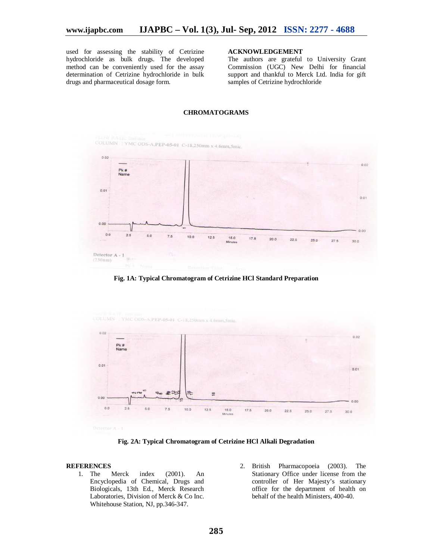used for assessing the stability of Cetrizine hydrochloride as bulk drugs. The developed method can be conveniently used for the assay determination of Cetrizine hydrochloride in bulk drugs and pharmaceutical dosage form.

# **ACKNOWLEDGEMENT**

The authors are grateful to University Grant Commission (UGC) New Delhi for financial support and thankful to Merck Ltd. India for gift samples of Cetrizine hydrochloride



# **CHROMATOGRAMS**

**Fig. 1A: Typical Chromatogram of Cetrizine HCl Standard Preparation**



**Fig. 2A: Typical Chromatogram of Cetrizine HCl Alkali Degradation**

#### **REFERENCES**

- 1. The Merck index (2001). An Encyclopedia of Chemical, Drugs and Biologicals, 13th Ed., Merck Research Laboratories, Division of Merck & Co Inc. Whitehouse Station, NJ, pp.346-347.
- 2. British Pharmacopoeia (2003). The Stationary Office under license from the controller of Her Majesty's stationary office for the department of health on behalf of the health Ministers, 400-40.